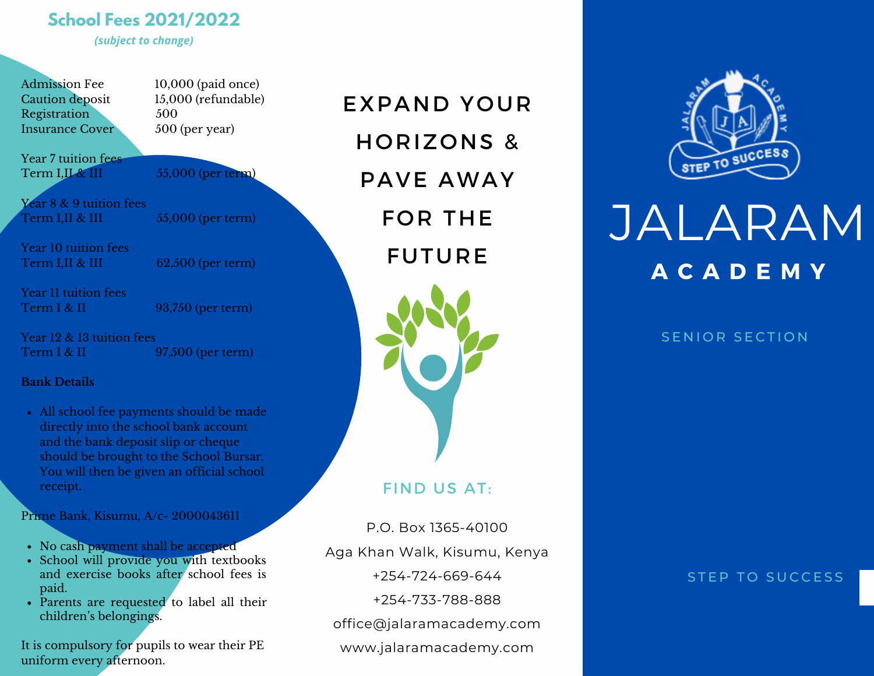# **School Fees 2021/2022**

*(subject to change)*

Registration 500 Insurance Cover 500 (per year)

Admission Fee 10,000 (paid once) Caution deposit 15,000 (refundable)

Year 7 tuition fees Term I,II  $\&$  III 55,000 (per term)

Year 8 & 9 tuition fees  $Term I, II & III$   $55,000$  (per term)

Year 10 tuition fees Term I,II & III  $62,500$  (per term)

Year 11 tuition fees Term I & II 93,750 (per term)

Year 12 & 13 tuition fees Term I & II 97,500 (per term)

#### **Bank Details**

All school fee payments should be made directly into the school bank account and the bank deposit slip or cheque should be brought to the School Bursar. You will then be given an official school receipt.

Prime Bank, Kisumu, A/c- 2000043611

- No cash payment shall be accepted
- School will provide you with textbooks and exercise books after school fees is paid.
- Parents are requested to label all their children's belongings.

It is compulsory for pupils to wear their PE uniform every afternoon.

EXPAND YOUR HORIZONS & PAVE AWAY FOR THE FUTURE

FIND US AT:

P.O. Box 1365-40100 Aga Khan Walk, Kisumu, Kenya +254-724-669-644 +254-733-788-888 office@jalaramacademy.com www.jalaramacademy.com



# JALARAM **A C A D E M Y**

#### SENIOR SECTION

STEP TO SUCCESS